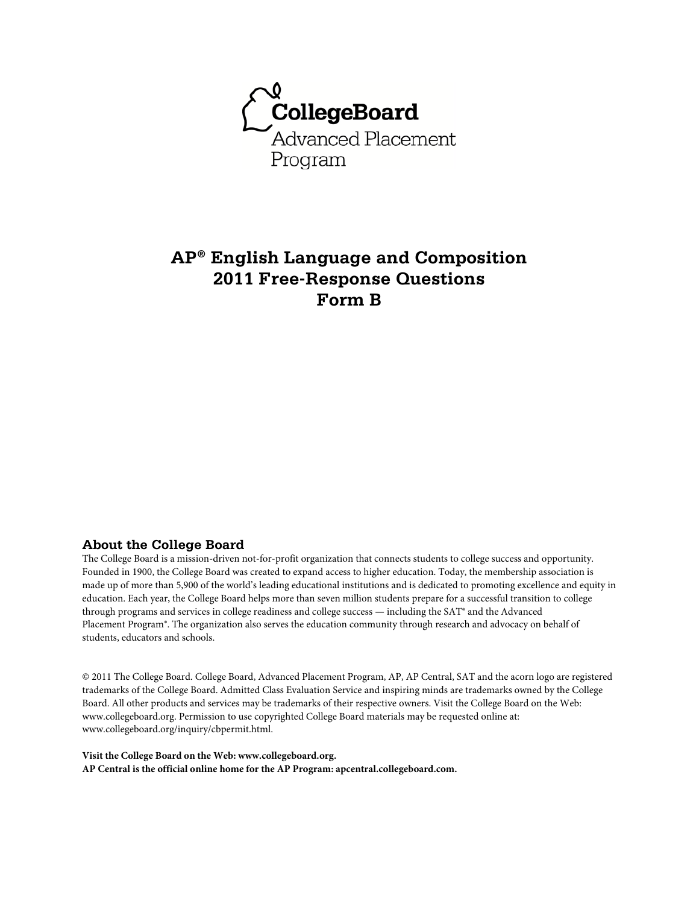

# **AP® English Language and Composition 2011 Free-Response Questions Form B**

### **About the College Board**

The College Board is a mission-driven not-for-profit organization that connects students to college success and opportunity. Founded in 1900, the College Board was created to expand access to higher education. Today, the membership association is made up of more than 5,900 of the world's leading educational institutions and is dedicated to promoting excellence and equity in education. Each year, the College Board helps more than seven million students prepare for a successful transition to college through programs and services in college readiness and college success — including the SAT® and the Advanced Placement Program®. The organization also serves the education community through research and advocacy on behalf of students, educators and schools.

© 2011 The College Board. College Board, Advanced Placement Program, AP, AP Central, SAT and the acorn logo are registered trademarks of the College Board. Admitted Class Evaluation Service and inspiring minds are trademarks owned by the College Board. All other products and services may be trademarks of their respective owners. Visit the College Board on the Web: www.collegeboard.org. Permission to use copyrighted College Board materials may be requested online at: www.collegeboard.org/inquiry/cbpermit.html.

**Visit the College Board on the Web: www.collegeboard.org. AP Central is the official online home for the AP Program: apcentral.collegeboard.com.**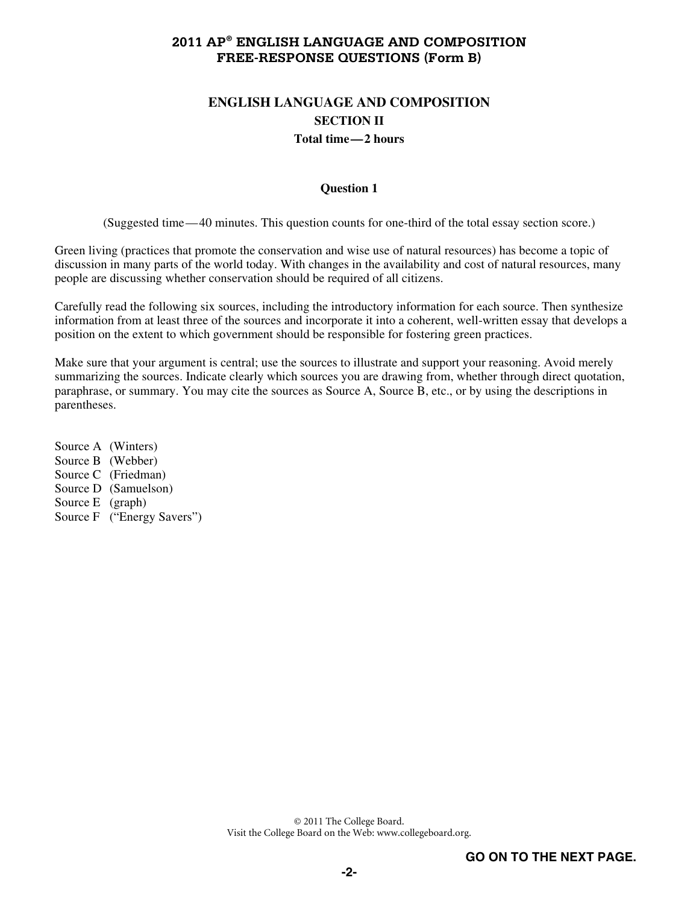# **ENGLISH LANGUAGE AND COMPOSITION SECTION II Total time—2 hours**

### **Question 1**

(Suggested time—40 minutes. This question counts for one-third of the total essay section score.)

Green living (practices that promote the conservation and wise use of natural resources) has become a topic of discussion in many parts of the world today. With changes in the availability and cost of natural resources, many people are discussing whether conservation should be required of all citizens.

Carefully read the following six sources, including the introductory information for each source. Then synthesize information from at least three of the sources and incorporate it into a coherent, well-written essay that develops a position on the extent to which government should be responsible for fostering green practices.

Make sure that your argument is central; use the sources to illustrate and support your reasoning. Avoid merely summarizing the sources. Indicate clearly which sources you are drawing from, whether through direct quotation, paraphrase, or summary. You may cite the sources as Source A, Source B, etc., or by using the descriptions in parentheses.

Source A (Winters) Source B (Webber) Source C (Friedman) Source D (Samuelson) Source E (graph) Source F ("Energy Savers")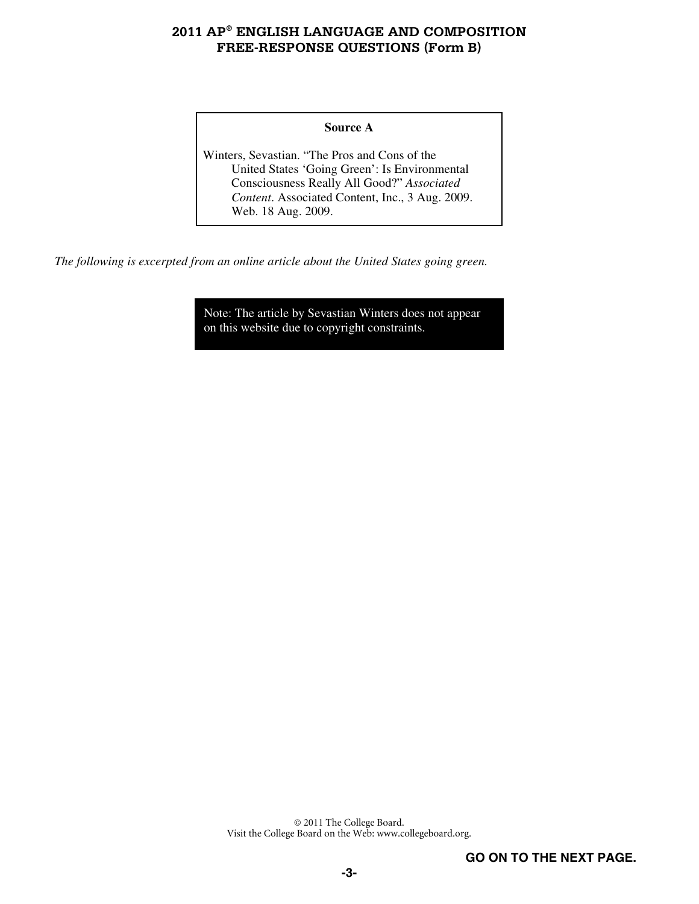### **Source A**

Winters, Sevastian. "The Pros and Cons of the United States 'Going Green': Is Environmental Consciousness Really All Good?" *Associated Content*. Associated Content, Inc., 3 Aug. 2009. Web. 18 Aug. 2009.

*The following is excerpted from an online article about the United States going green.* 

Note: The article by Sevastian Winters does not appear on this website due to copyright constraints.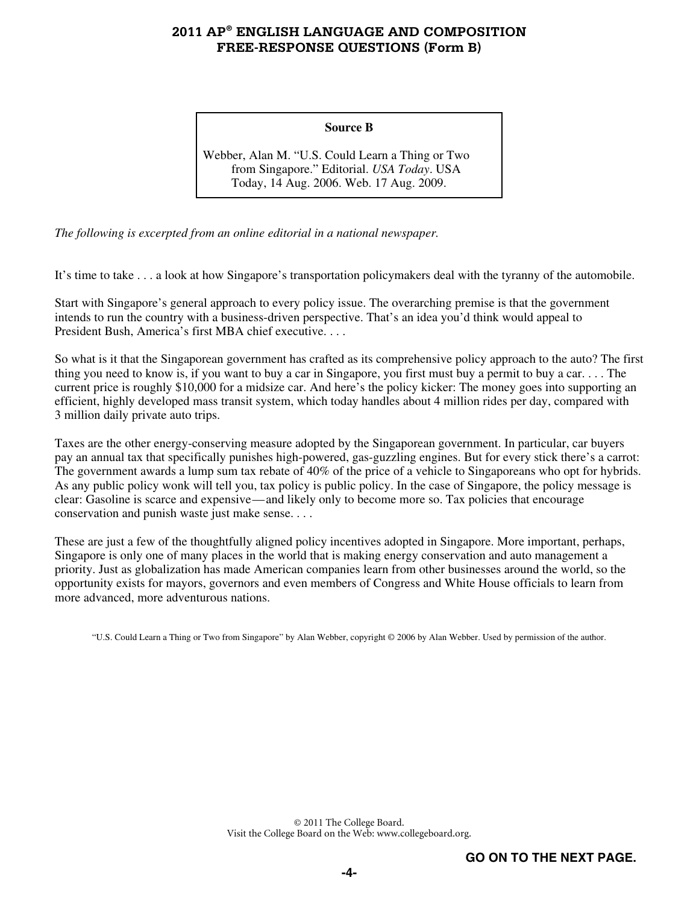#### **Source B**

Webber, Alan M. "U.S. Could Learn a Thing or Two from Singapore." Editorial. *USA Today*. USA Today, 14 Aug. 2006. Web. 17 Aug. 2009.

*The following is excerpted from an online editorial in a national newspaper.* 

It's time to take . . . a look at how Singapore's transportation policymakers deal with the tyranny of the automobile.

Start with Singapore's general approach to every policy issue. The overarching premise is that the government intends to run the country with a business-driven perspective. That's an idea you'd think would appeal to President Bush, America's first MBA chief executive. . . .

So what is it that the Singaporean government has crafted as its comprehensive policy approach to the auto? The first thing you need to know is, if you want to buy a car in Singapore, you first must buy a permit to buy a car. . . . The current price is roughly \$10,000 for a midsize car. And here's the policy kicker: The money goes into supporting an efficient, highly developed mass transit system, which today handles about 4 million rides per day, compared with 3 million daily private auto trips.

Taxes are the other energy-conserving measure adopted by the Singaporean government. In particular, car buyers pay an annual tax that specifically punishes high-powered, gas-guzzling engines. But for every stick there's a carrot: The government awards a lump sum tax rebate of 40% of the price of a vehicle to Singaporeans who opt for hybrids. As any public policy wonk will tell you, tax policy is public policy. In the case of Singapore, the policy message is clear: Gasoline is scarce and expensive—and likely only to become more so. Tax policies that encourage conservation and punish waste just make sense. . . .

These are just a few of the thoughtfully aligned policy incentives adopted in Singapore. More important, perhaps, Singapore is only one of many places in the world that is making energy conservation and auto management a priority. Just as globalization has made American companies learn from other businesses around the world, so the opportunity exists for mayors, governors and even members of Congress and White House officials to learn from more advanced, more adventurous nations.

"U.S. Could Learn a Thing or Two from Singapore" by Alan Webber, copyright © 2006 by Alan Webber. Used by permission of the author.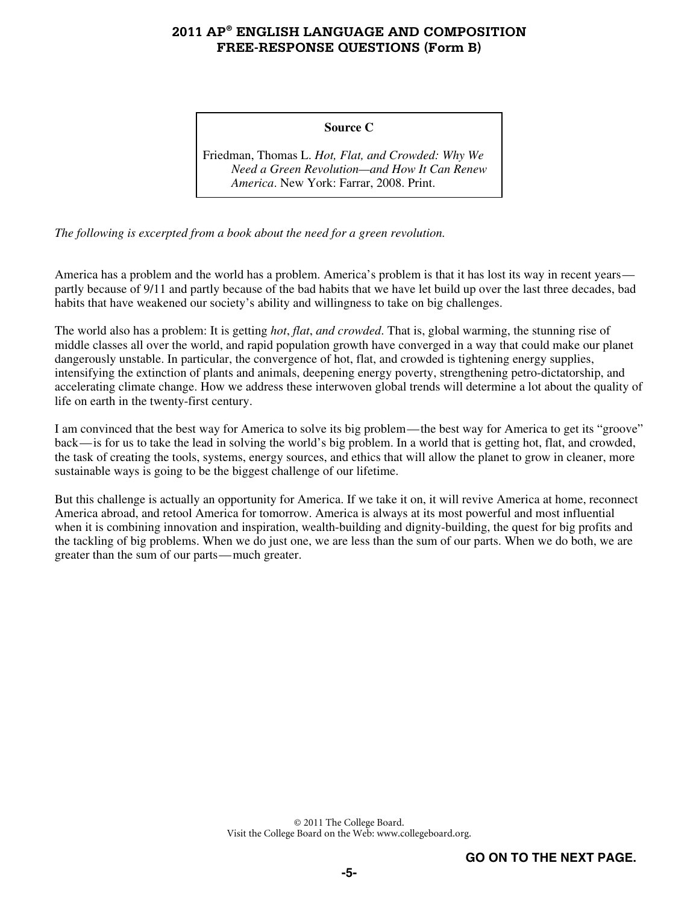#### **Source C**

Friedman, Thomas L. *Hot, Flat, and Crowded: Why We Need a Green Revolution—and How It Can Renew America*. New York: Farrar, 2008. Print.

*The following is excerpted from a book about the need for a green revolution.* 

America has a problem and the world has a problem. America's problem is that it has lost its way in recent years partly because of 9/11 and partly because of the bad habits that we have let build up over the last three decades, bad habits that have weakened our society's ability and willingness to take on big challenges.

The world also has a problem: It is getting *hot*, *flat*, *and crowded*. That is, global warming, the stunning rise of middle classes all over the world, and rapid population growth have converged in a way that could make our planet dangerously unstable. In particular, the convergence of hot, flat, and crowded is tightening energy supplies, intensifying the extinction of plants and animals, deepening energy poverty, strengthening petro-dictatorship, and accelerating climate change. How we address these interwoven global trends will determine a lot about the quality of life on earth in the twenty-first century.

I am convinced that the best way for America to solve its big problem—the best way for America to get its "groove" back—is for us to take the lead in solving the world's big problem. In a world that is getting hot, flat, and crowded, the task of creating the tools, systems, energy sources, and ethics that will allow the planet to grow in cleaner, more sustainable ways is going to be the biggest challenge of our lifetime.

But this challenge is actually an opportunity for America. If we take it on, it will revive America at home, reconnect America abroad, and retool America for tomorrow. America is always at its most powerful and most influential when it is combining innovation and inspiration, wealth-building and dignity-building, the quest for big profits and the tackling of big problems. When we do just one, we are less than the sum of our parts. When we do both, we are greater than the sum of our parts—much greater.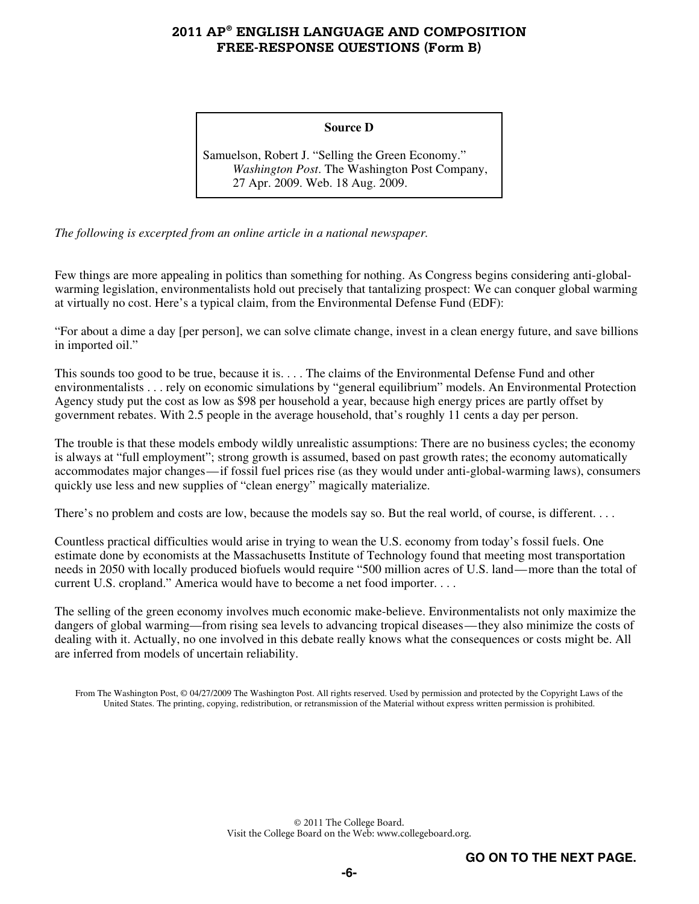#### **Source D**

Samuelson, Robert J. "Selling the Green Economy." *Washington Post*. The Washington Post Company, 27 Apr. 2009. Web. 18 Aug. 2009.

*The following is excerpted from an online article in a national newspaper.* 

Few things are more appealing in politics than something for nothing. As Congress begins considering anti-globalwarming legislation, environmentalists hold out precisely that tantalizing prospect: We can conquer global warming at virtually no cost. Here's a typical claim, from the Environmental Defense Fund (EDF):

"For about a dime a day [per person], we can solve climate change, invest in a clean energy future, and save billions in imported oil."

This sounds too good to be true, because it is. . . . The claims of the Environmental Defense Fund and other environmentalists . . . rely on economic simulations by "general equilibrium" models. An Environmental Protection Agency study put the cost as low as \$98 per household a year, because high energy prices are partly offset by government rebates. With 2.5 people in the average household, that's roughly 11 cents a day per person.

The trouble is that these models embody wildly unrealistic assumptions: There are no business cycles; the economy is always at "full employment"; strong growth is assumed, based on past growth rates; the economy automatically accommodates major changes—if fossil fuel prices rise (as they would under anti-global-warming laws), consumers quickly use less and new supplies of "clean energy" magically materialize.

There's no problem and costs are low, because the models say so. But the real world, of course, is different....

Countless practical difficulties would arise in trying to wean the U.S. economy from today's fossil fuels. One estimate done by economists at the Massachusetts Institute of Technology found that meeting most transportation needs in 2050 with locally produced biofuels would require "500 million acres of U.S. land—more than the total of current U.S. cropland." America would have to become a net food importer. . . .

The selling of the green economy involves much economic make-believe. Environmentalists not only maximize the dangers of global warming—from rising sea levels to advancing tropical diseases—they also minimize the costs of dealing with it. Actually, no one involved in this debate really knows what the consequences or costs might be. All are inferred from models of uncertain reliability.

From The Washington Post, © 04/27/2009 The Washington Post. All rights reserved. Used by permission and protected by the Copyright Laws of the United States. The printing, copying, redistribution, or retransmission of the Material without express written permission is prohibited.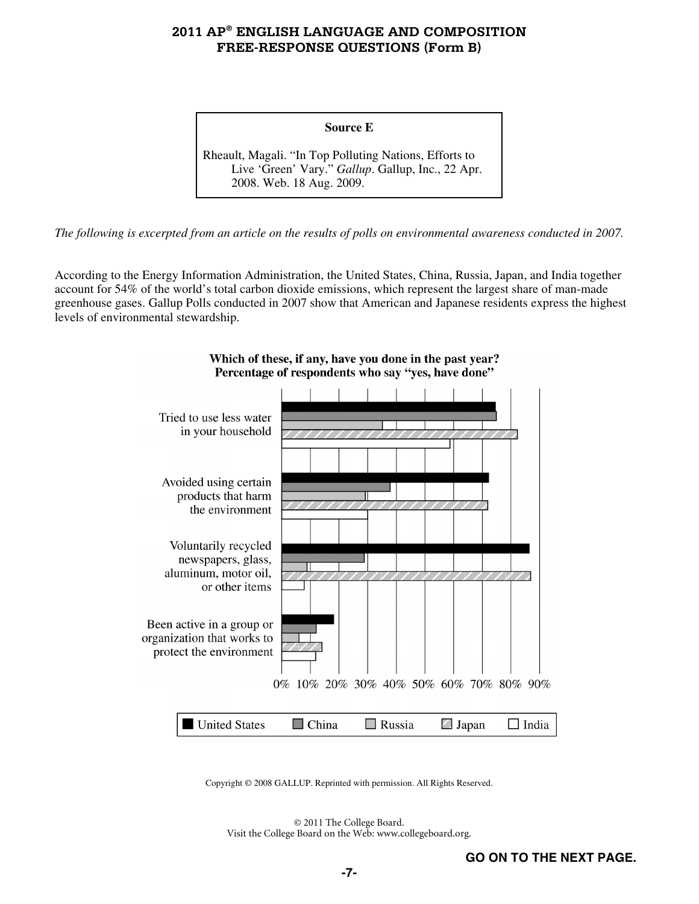#### **Source E**

Rheault, Magali. "In Top Polluting Nations, Efforts to Live 'Green' Vary." *Gallup*. Gallup, Inc., 22 Apr. 2008. Web. 18 Aug. 2009.

*The following is excerpted from an article on the results of polls on environmental awareness conducted in 2007.* 

According to the Energy Information Administration, the United States, China, Russia, Japan, and India together account for 54% of the world's total carbon dioxide emissions, which represent the largest share of man-made greenhouse gases. Gallup Polls conducted in 2007 show that American and Japanese residents express the highest levels of environmental stewardship.



Which of these, if any, have you done in the past year? Percentage of respondents who say "yes, have done"

Copyright © 2008 GALLUP. Reprinted with permission. All Rights Reserved.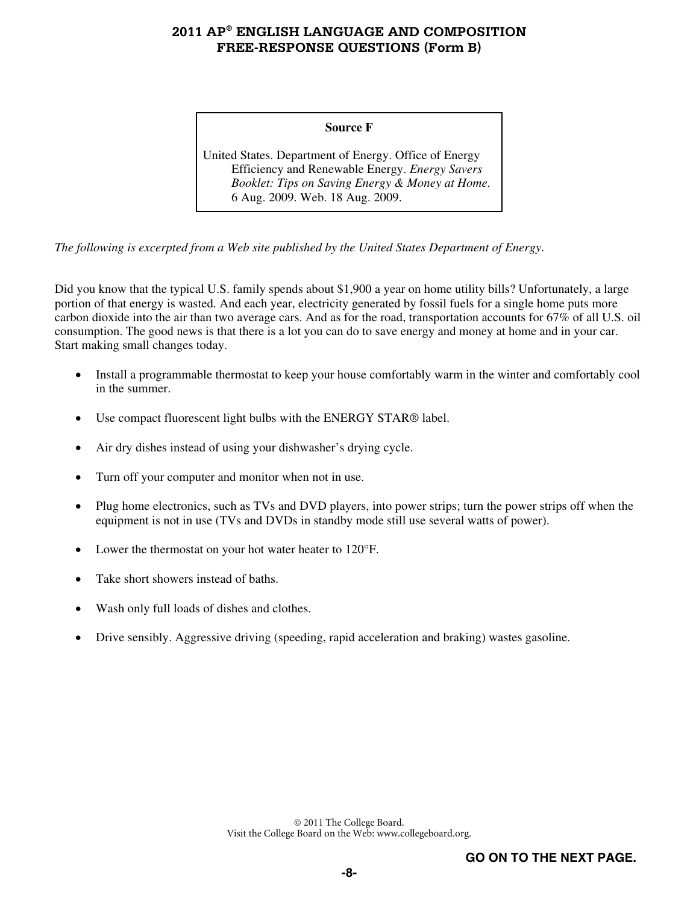#### **Source F**

United States. Department of Energy. Office of Energy Efficiency and Renewable Energy. *Energy Savers Booklet: Tips on Saving Energy & Money at Home*. 6 Aug. 2009. Web. 18 Aug. 2009.

*The following is excerpted from a Web site published by the United States Department of Energy*.

Did you know that the typical U.S. family spends about \$1,900 a year on home utility bills? Unfortunately, a large portion of that energy is wasted. And each year, electricity generated by fossil fuels for a single home puts more carbon dioxide into the air than two average cars. And as for the road, transportation accounts for 67% of all U.S. oil consumption. The good news is that there is a lot you can do to save energy and money at home and in your car. Start making small changes today.

- Install a programmable thermostat to keep your house comfortably warm in the winter and comfortably cool in the summer.
- Use compact fluorescent light bulbs with the ENERGY STAR® label.
- Air dry dishes instead of using your dishwasher's drying cycle.
- Turn off your computer and monitor when not in use.
- Plug home electronics, such as TVs and DVD players, into power strips; turn the power strips off when the equipment is not in use (TVs and DVDs in standby mode still use several watts of power).
- Lower the thermostat on your hot water heater to 120°F.
- Take short showers instead of baths.
- Wash only full loads of dishes and clothes.
- Drive sensibly. Aggressive driving (speeding, rapid acceleration and braking) wastes gasoline.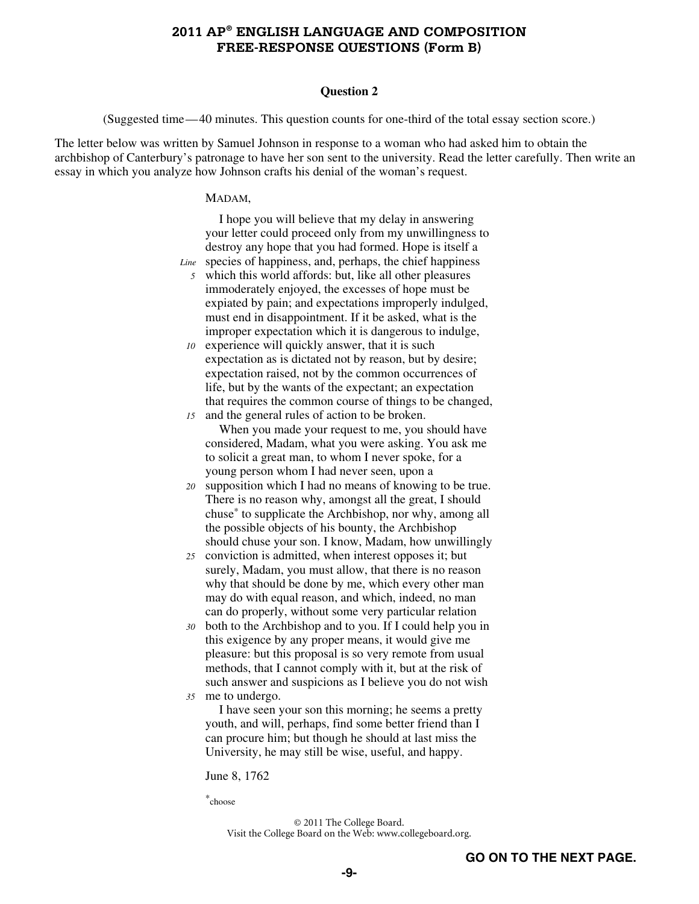#### **Question 2**

(Suggested time—40 minutes. This question counts for one-third of the total essay section score.)

The letter below was written by Samuel Johnson in response to a woman who had asked him to obtain the archbishop of Canterbury's patronage to have her son sent to the university. Read the letter carefully. Then write an essay in which you analyze how Johnson crafts his denial of the woman's request.

#### MADAM,

I hope you will believe that my delay in answering your letter could proceed only from my unwillingness to destroy any hope that you had formed. Hope is itself a

- species of happiness, and, perhaps, the chief happiness *Line5* which this world affords: but, like all other pleasures immoderately enjoyed, the excesses of hope must be expiated by pain; and expectations improperly indulged, must end in disappointment. If it be asked, what is the improper expectation which it is dangerous to indulge,
- *10* experience will quickly answer, that it is such expectation as is dictated not by reason, but by desire; expectation raised, not by the common occurrences of life, but by the wants of the expectant; an expectation that requires the common course of things to be changed, *15* and the general rules of action to be broken.
- When you made your request to me, you should have considered, Madam, what you were asking. You ask me to solicit a great man, to whom I never spoke, for a young person whom I had never seen, upon a
- *20* supposition which I had no means of knowing to be true. There is no reason why, amongst all the great, I should chuse\* to supplicate the Archbishop, nor why, among all the possible objects of his bounty, the Archbishop should chuse your son. I know, Madam, how unwillingly
- *25* conviction is admitted, when interest opposes it; but surely, Madam, you must allow, that there is no reason why that should be done by me, which every other man may do with equal reason, and which, indeed, no man can do properly, without some very particular relation
- *30* both to the Archbishop and to you. If I could help you in this exigence by any proper means, it would give me pleasure: but this proposal is so very remote from usual methods, that I cannot comply with it, but at the risk of such answer and suspicions as I believe you do not wish *35* me to undergo.

I have seen your son this morning; he seems a pretty youth, and will, perhaps, find some better friend than I can procure him; but though he should at last miss the University, he may still be wise, useful, and happy.

June 8, 1762

\*choose